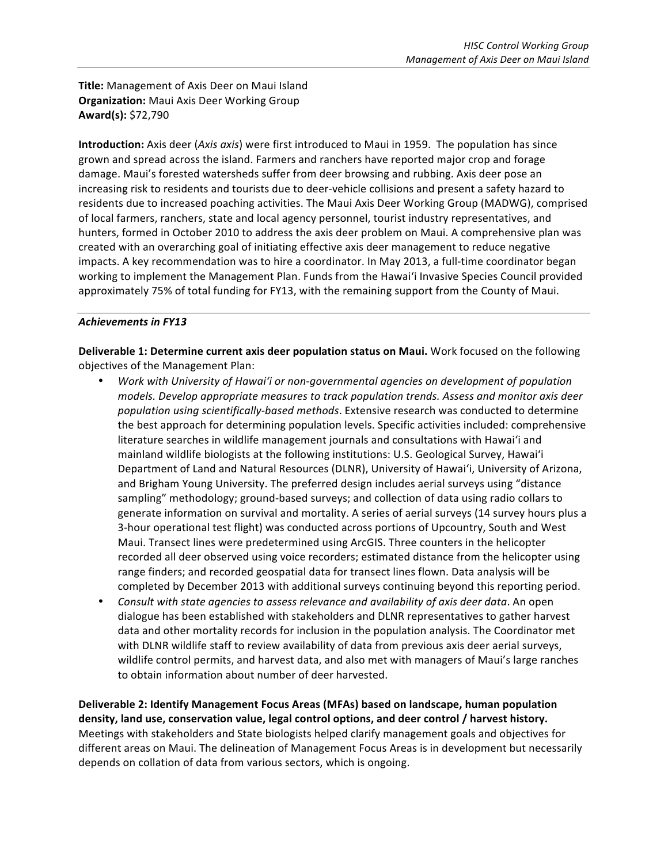**Title:** Management of Axis Deer on Maui Island **Organization:** Maui Axis Deer Working Group **Award(s):** \$72,790

**Introduction:** Axis deer (Axis axis) were first introduced to Maui in 1959. The population has since grown and spread across the island. Farmers and ranchers have reported major crop and forage damage. Maui's forested watersheds suffer from deer browsing and rubbing. Axis deer pose an increasing risk to residents and tourists due to deer-vehicle collisions and present a safety hazard to residents due to increased poaching activities. The Maui Axis Deer Working Group (MADWG), comprised of local farmers, ranchers, state and local agency personnel, tourist industry representatives, and hunters, formed in October 2010 to address the axis deer problem on Maui. A comprehensive plan was created with an overarching goal of initiating effective axis deer management to reduce negative impacts. A key recommendation was to hire a coordinator. In May 2013, a full-time coordinator began working to implement the Management Plan. Funds from the Hawai'i Invasive Species Council provided approximately 75% of total funding for FY13, with the remaining support from the County of Maui.

## Achievements in FY13

**Deliverable 1: Determine current axis deer population status on Maui.** Work focused on the following objectives of the Management Plan:

- *Work with University of Hawai'i or non-governmental agencies on development of population models. Develop appropriate measures to track population trends. Assess and monitor axis deer*  population using scientifically-based methods. Extensive research was conducted to determine the best approach for determining population levels. Specific activities included: comprehensive literature searches in wildlife management journals and consultations with Hawai'i and mainland wildlife biologists at the following institutions: U.S. Geological Survey, Hawai'i Department of Land and Natural Resources (DLNR), University of Hawai'i, University of Arizona, and Brigham Young University. The preferred design includes aerial surveys using "distance sampling" methodology; ground-based surveys; and collection of data using radio collars to generate information on survival and mortality. A series of aerial surveys (14 survey hours plus a 3-hour operational test flight) was conducted across portions of Upcountry, South and West Maui. Transect lines were predetermined using ArcGIS. Three counters in the helicopter recorded all deer observed using voice recorders; estimated distance from the helicopter using range finders; and recorded geospatial data for transect lines flown. Data analysis will be completed by December 2013 with additional surveys continuing beyond this reporting period.
- Consult with state agencies to assess relevance and availability of axis deer data. An open dialogue has been established with stakeholders and DLNR representatives to gather harvest data and other mortality records for inclusion in the population analysis. The Coordinator met with DLNR wildlife staff to review availability of data from previous axis deer aerial surveys, wildlife control permits, and harvest data, and also met with managers of Maui's large ranches to obtain information about number of deer harvested.

**Deliverable 2: Identify Management Focus Areas (MFAs) based on landscape, human population** density, land use, conservation value, legal control options, and deer control / harvest history. Meetings with stakeholders and State biologists helped clarify management goals and objectives for different areas on Maui. The delineation of Management Focus Areas is in development but necessarily depends on collation of data from various sectors, which is ongoing.